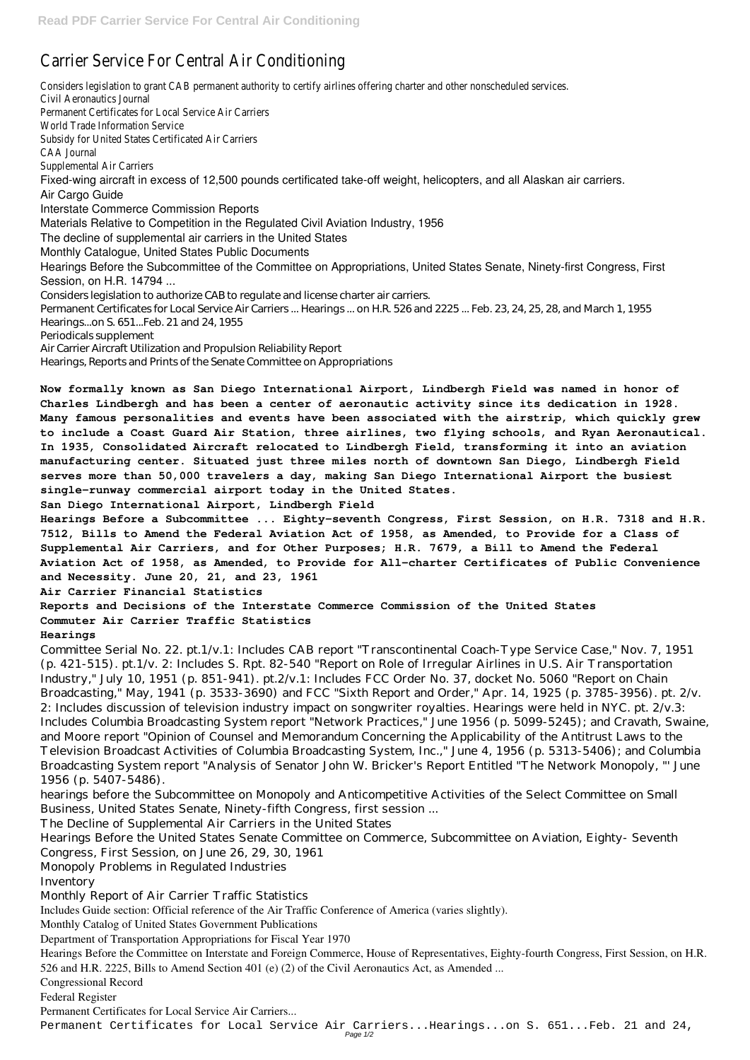## Carrier Service For Central

Considers legislation to grant CAB permanent authority to certify airlines offering charter and other nonsing charter and  $\epsilon$ . Civil Aeronautics Permanent Certificates for Local : World Trade Informat Subsidy for United States Certificated CAA Jou Supplemental Air Fixed-wing aircraft in excess of 12,500 pounds certificated take-off weight, helicopters, and all Alaskan air carriers. Air Cargo Guide Interstate Commerce Commission Reports Materials Relative to Competition in the Regulated Civil Aviation Industry, 1956 The decline of supplemental air carriers in the United States Monthly Catalogue, United States Public Documents Hearings Before the Subcommittee of the Committee on Appropriations, United States Senate, Ninety-first Congress, First Session, on H.R. 14794 ... Considers legislation to authorize CAB to regulate and license charter air carriers. Permanent Certificates for Local Service Air Carriers ... Hearings ... on H.R. 526 and 2225 ... Feb. 23, 24, 25, 28, and March 1, 1955 Hearings...on S. 651...Feb. 21 and 24, 1955 Periodicals supplement Air Carrier Aircraft Utilization and Propulsion Reliability Report Hearings, Reports and Prints of the Senate Committee on Appropriations

**Now formally known as San Diego International Airport, Lindbergh Field was named in honor of Charles Lindbergh and has been a center of aeronautic activity since its dedication in 1928. Many famous personalities and events have been associated with the airstrip, which quickly grew to include a Coast Guard Air Station, three airlines, two flying schools, and Ryan Aeronautical. In 1935, Consolidated Aircraft relocated to Lindbergh Field, transforming it into an aviation manufacturing center. Situated just three miles north of downtown San Diego, Lindbergh Field serves more than 50,000 travelers a day, making San Diego International Airport the busiest single-runway commercial airport today in the United States.**

**San Diego International Airport, Lindbergh Field**

**Hearings Before a Subcommittee ... Eighty-seventh Congress, First Session, on H.R. 7318 and H.R. 7512, Bills to Amend the Federal Aviation Act of 1958, as Amended, to Provide for a Class of Supplemental Air Carriers, and for Other Purposes; H.R. 7679, a Bill to Amend the Federal Aviation Act of 1958, as Amended, to Provide for All-charter Certificates of Public Convenience and Necessity. June 20, 21, and 23, 1961**

**Air Carrier Financial Statistics**

**Reports and Decisions of the Interstate Commerce Commission of the United States Commuter Air Carrier Traffic Statistics**

## **Hearings**

Committee Serial No. 22. pt.1/v.1: Includes CAB report "Transcontinental Coach-Type Service Case," Nov. 7, 1951 (p. 421-515). pt.1/v. 2: Includes S. Rpt. 82-540 "Report on Role of Irregular Airlines in U.S. Air Transportation Industry," July 10, 1951 (p. 851-941). pt.2/v.1: Includes FCC Order No. 37, docket No. 5060 "Report on Chain Broadcasting," May, 1941 (p. 3533-3690) and FCC "Sixth Report and Order," Apr. 14, 1925 (p. 3785-3956). pt. 2/v. 2: Includes discussion of television industry impact on songwriter royalties. Hearings were held in NYC. pt. 2/v.3: Includes Columbia Broadcasting System report "Network Practices," June 1956 (p. 5099-5245); and Cravath, Swaine, and Moore report "Opinion of Counsel and Memorandum Concerning the Applicability of the Antitrust Laws to the Television Broadcast Activities of Columbia Broadcasting System, Inc.," June 4, 1956 (p. 5313-5406); and Columbia Broadcasting System report "Analysis of Senator John W. Bricker's Report Entitled "The Network Monopoly, "' June 1956 (p. 5407-5486).

hearings before the Subcommittee on Monopoly and Anticompetitive Activities of the Select Committee on Small Business, United States Senate, Ninety-fifth Congress, first session ... The Decline of Supplemental Air Carriers in the United States Hearings Before the United States Senate Committee on Commerce, Subcommittee on Aviation, Eighty- Seventh Congress, First Session, on June 26, 29, 30, 1961 Monopoly Problems in Regulated Industries Inventory Monthly Report of Air Carrier Traffic Statistics Includes Guide section: Official reference of the Air Traffic Conference of America (varies slightly). Monthly Catalog of United States Government Publications Department of Transportation Appropriations for Fiscal Year 1970 Hearings Before the Committee on Interstate and Foreign Commerce, House of Representatives, Eighty-fourth Congress, First Session, on H.R. 526 and H.R. 2225, Bills to Amend Section 401 (e) (2) of the Civil Aeronautics Act, as Amended ... Congressional Record Federal Register Permanent Certificates for Local Service Air Carriers... Permanent Certificates for Local Service Air Carriers...Hearings...on S. 651...Feb. 21 and 24, Page 1/2